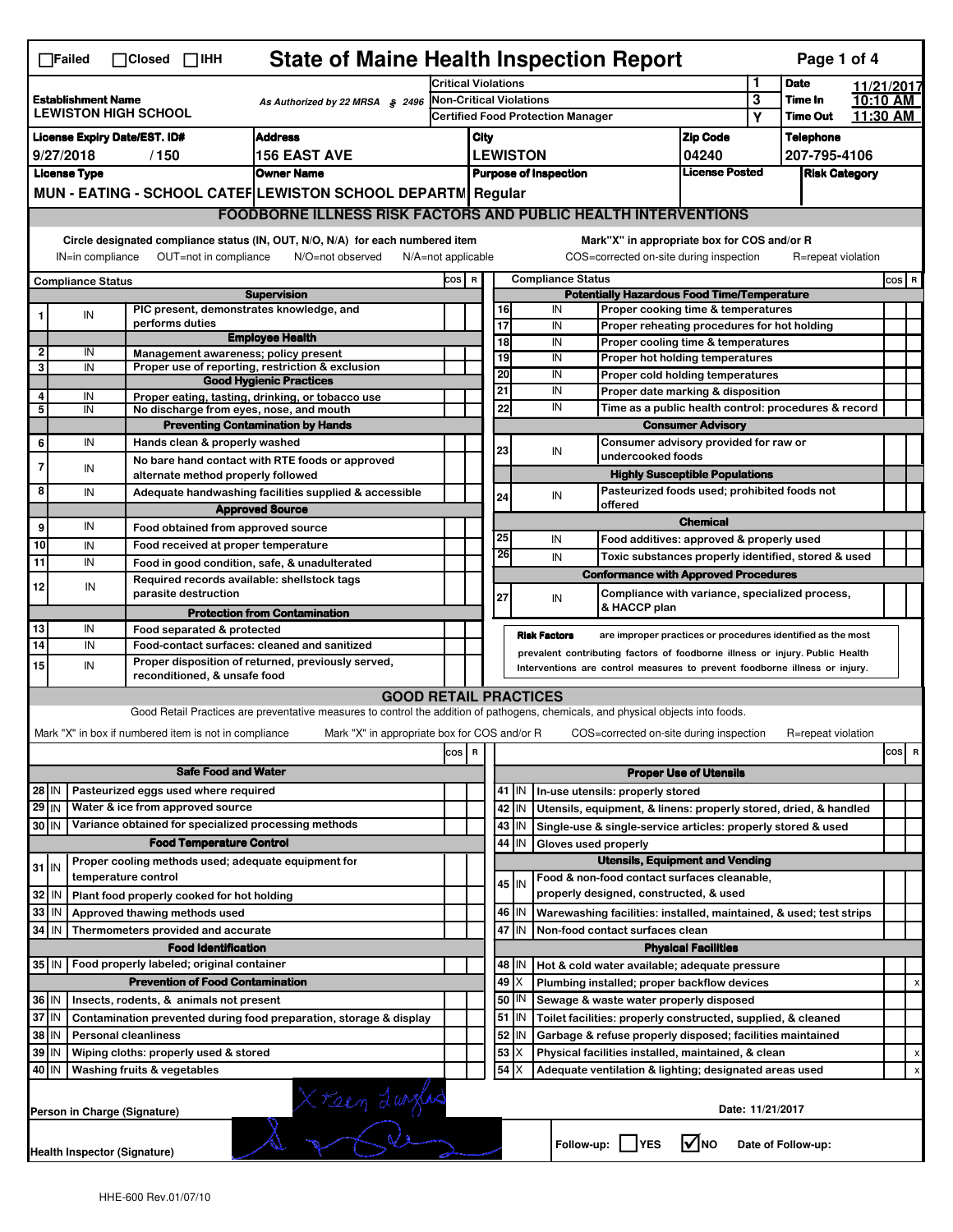| <b>State of Maine Health Inspection Report</b><br>Page 1 of 4<br>$\Box$ Failed<br>$\Box$ Closed $\Box$ IHH                                                                |                                                                       |  |                                                       |                                                                                                                                   |       |                                                                               |                 |         |                                                    |                                                                                           |                               |                  |                    |  |       |   |
|---------------------------------------------------------------------------------------------------------------------------------------------------------------------------|-----------------------------------------------------------------------|--|-------------------------------------------------------|-----------------------------------------------------------------------------------------------------------------------------------|-------|-------------------------------------------------------------------------------|-----------------|---------|----------------------------------------------------|-------------------------------------------------------------------------------------------|-------------------------------|------------------|--------------------|--|-------|---|
|                                                                                                                                                                           |                                                                       |  |                                                       | <b>Critical Violations</b>                                                                                                        |       |                                                                               |                 |         |                                                    | 1                                                                                         | <b>Date</b>                   | 11/21/2017       |                    |  |       |   |
| <b>Establishment Name</b><br>As Authorized by 22 MRSA § 2496<br><b>LEWISTON HIGH SCHOOL</b>                                                                               |                                                                       |  | <b>Non-Critical Violations</b>                        |                                                                                                                                   |       |                                                                               |                 |         |                                                    | 3                                                                                         | Time In                       | 10:10 AM         |                    |  |       |   |
|                                                                                                                                                                           |                                                                       |  |                                                       | <b>Certified Food Protection Manager</b>                                                                                          |       |                                                                               |                 |         |                                                    | Υ                                                                                         | <b>Time Out</b>               | 11.30 AM         |                    |  |       |   |
| <b>Address</b><br><b>License Expiry Date/EST. ID#</b>                                                                                                                     |                                                                       |  |                                                       | <b>Zip Code</b><br>City                                                                                                           |       |                                                                               |                 |         |                                                    |                                                                                           | <b>Telephone</b>              |                  |                    |  |       |   |
| 9/27/2018<br><b>156 EAST AVE</b><br>/150                                                                                                                                  |                                                                       |  |                                                       | <b>LEWISTON</b><br>04240                                                                                                          |       |                                                                               |                 |         |                                                    |                                                                                           | 207-795-4106                  |                  |                    |  |       |   |
| <b>Owner Name</b><br><b>License Type</b>                                                                                                                                  |                                                                       |  |                                                       |                                                                                                                                   |       | <b>License Posted</b><br><b>Purpose of Inspection</b><br><b>Risk Category</b> |                 |         |                                                    |                                                                                           |                               |                  |                    |  |       |   |
| MUN - EATING - SCHOOL CATEF LEWISTON SCHOOL DEPARTN Regular                                                                                                               |                                                                       |  |                                                       |                                                                                                                                   |       |                                                                               |                 |         |                                                    |                                                                                           |                               |                  |                    |  |       |   |
|                                                                                                                                                                           | <b>FOODBORNE ILLNESS RISK FACTORS AND PUBLIC HEALTH INTERVENTIONS</b> |  |                                                       |                                                                                                                                   |       |                                                                               |                 |         |                                                    |                                                                                           |                               |                  |                    |  |       |   |
| Circle designated compliance status (IN, OUT, N/O, N/A) for each numbered item<br>IN=in compliance<br>OUT=not in compliance<br>N/O=not observed<br>$N/A = not$ applicable |                                                                       |  |                                                       |                                                                                                                                   |       |                                                                               |                 |         |                                                    | Mark"X" in appropriate box for COS and/or R<br>COS=corrected on-site during inspection    |                               |                  | R=repeat violation |  |       |   |
|                                                                                                                                                                           |                                                                       |  |                                                       |                                                                                                                                   | COS R |                                                                               |                 |         | <b>Compliance Status</b>                           |                                                                                           |                               |                  |                    |  | COS R |   |
| <b>Compliance Status</b><br><b>Supervision</b>                                                                                                                            |                                                                       |  |                                                       |                                                                                                                                   |       |                                                                               |                 |         | <b>Potentially Hazardous Food Time/Temperature</b> |                                                                                           |                               |                  |                    |  |       |   |
|                                                                                                                                                                           | IN                                                                    |  | PIC present, demonstrates knowledge, and              |                                                                                                                                   |       |                                                                               | 16              |         | IN                                                 | Proper cooking time & temperatures                                                        |                               |                  |                    |  |       |   |
|                                                                                                                                                                           |                                                                       |  | performs duties                                       | <b>Employee Health</b>                                                                                                            |       |                                                                               | $\overline{17}$ |         | IN                                                 | Proper reheating procedures for hot holding                                               |                               |                  |                    |  |       |   |
| $\mathbf{2}$                                                                                                                                                              | IN                                                                    |  | Management awareness; policy present                  |                                                                                                                                   |       |                                                                               | 18              |         | IN                                                 | Proper cooling time & temperatures                                                        |                               |                  |                    |  |       |   |
| 3                                                                                                                                                                         | IN                                                                    |  |                                                       | Proper use of reporting, restriction & exclusion                                                                                  |       |                                                                               | 19<br>20        |         | IN<br>IN                                           | Proper hot holding temperatures                                                           |                               |                  |                    |  |       |   |
|                                                                                                                                                                           |                                                                       |  |                                                       | <b>Good Hygienic Practices</b>                                                                                                    |       |                                                                               | 21              |         | IN                                                 | Proper cold holding temperatures                                                          |                               |                  |                    |  |       |   |
| 4<br>5                                                                                                                                                                    | IN<br>IN                                                              |  | No discharge from eyes, nose, and mouth               | Proper eating, tasting, drinking, or tobacco use                                                                                  |       |                                                                               | 22              |         | IN                                                 | Proper date marking & disposition<br>Time as a public health control: procedures & record |                               |                  |                    |  |       |   |
|                                                                                                                                                                           |                                                                       |  |                                                       | <b>Preventing Contamination by Hands</b>                                                                                          |       |                                                                               |                 |         |                                                    |                                                                                           | <b>Consumer Advisory</b>      |                  |                    |  |       |   |
| 6                                                                                                                                                                         | IN                                                                    |  | Hands clean & properly washed                         |                                                                                                                                   |       |                                                                               |                 |         |                                                    | Consumer advisory provided for raw or                                                     |                               |                  |                    |  |       |   |
|                                                                                                                                                                           |                                                                       |  |                                                       | No bare hand contact with RTE foods or approved                                                                                   |       |                                                                               | 23              |         | IN                                                 | undercooked foods                                                                         |                               |                  |                    |  |       |   |
| 7                                                                                                                                                                         | IN                                                                    |  | alternate method properly followed                    |                                                                                                                                   |       |                                                                               |                 |         |                                                    | <b>Highly Susceptible Populations</b>                                                     |                               |                  |                    |  |       |   |
| 8                                                                                                                                                                         | IN                                                                    |  |                                                       | Adequate handwashing facilities supplied & accessible                                                                             |       |                                                                               | 24              |         | IN                                                 | Pasteurized foods used; prohibited foods not                                              |                               |                  |                    |  |       |   |
|                                                                                                                                                                           |                                                                       |  |                                                       | <b>Approved Source</b>                                                                                                            |       |                                                                               |                 |         |                                                    | offered                                                                                   |                               |                  |                    |  |       |   |
| 9                                                                                                                                                                         | IN                                                                    |  | Food obtained from approved source                    |                                                                                                                                   |       |                                                                               |                 |         |                                                    |                                                                                           | <b>Chemical</b>               |                  |                    |  |       |   |
| 10                                                                                                                                                                        | IN                                                                    |  | Food received at proper temperature                   |                                                                                                                                   |       |                                                                               | 25              |         | IN                                                 | Food additives: approved & properly used                                                  |                               |                  |                    |  |       |   |
| 11                                                                                                                                                                        | IN                                                                    |  |                                                       | Food in good condition, safe, & unadulterated                                                                                     |       |                                                                               | 26              |         | IN                                                 | Toxic substances properly identified, stored & used                                       |                               |                  |                    |  |       |   |
| 12                                                                                                                                                                        |                                                                       |  | Required records available: shellstock tags           |                                                                                                                                   |       |                                                                               |                 |         |                                                    | <b>Conformance with Approved Procedures</b>                                               |                               |                  |                    |  |       |   |
|                                                                                                                                                                           | IN                                                                    |  | parasite destruction                                  |                                                                                                                                   |       |                                                                               | 27              |         | IN                                                 | Compliance with variance, specialized process,                                            |                               |                  |                    |  |       |   |
|                                                                                                                                                                           |                                                                       |  |                                                       |                                                                                                                                   |       |                                                                               |                 |         |                                                    |                                                                                           |                               |                  |                    |  |       |   |
|                                                                                                                                                                           |                                                                       |  |                                                       | <b>Protection from Contamination</b>                                                                                              |       |                                                                               |                 |         |                                                    | & HACCP plan                                                                              |                               |                  |                    |  |       |   |
| 13                                                                                                                                                                        | IN                                                                    |  | Food separated & protected                            |                                                                                                                                   |       |                                                                               |                 |         | <b>Risk Factors</b>                                | are improper practices or procedures identified as the most                               |                               |                  |                    |  |       |   |
| 14                                                                                                                                                                        | IN                                                                    |  | Food-contact surfaces: cleaned and sanitized          |                                                                                                                                   |       |                                                                               |                 |         |                                                    | prevalent contributing factors of foodborne illness or injury. Public Health              |                               |                  |                    |  |       |   |
| 15                                                                                                                                                                        | IN                                                                    |  |                                                       | Proper disposition of returned, previously served,                                                                                |       |                                                                               |                 |         |                                                    | Interventions are control measures to prevent foodborne illness or injury.                |                               |                  |                    |  |       |   |
|                                                                                                                                                                           |                                                                       |  | reconditioned, & unsafe food                          |                                                                                                                                   |       |                                                                               |                 |         |                                                    |                                                                                           |                               |                  |                    |  |       |   |
|                                                                                                                                                                           |                                                                       |  |                                                       | <b>GOOD RETAIL PRACTICES</b>                                                                                                      |       |                                                                               |                 |         |                                                    |                                                                                           |                               |                  |                    |  |       |   |
|                                                                                                                                                                           |                                                                       |  |                                                       | Good Retail Practices are preventative measures to control the addition of pathogens, chemicals, and physical objects into foods. |       |                                                                               |                 |         |                                                    |                                                                                           |                               |                  |                    |  |       |   |
|                                                                                                                                                                           |                                                                       |  | Mark "X" in box if numbered item is not in compliance | Mark "X" in appropriate box for COS and/or R                                                                                      |       |                                                                               |                 |         |                                                    | COS=corrected on-site during inspection                                                   |                               |                  | R=repeat violation |  |       |   |
|                                                                                                                                                                           |                                                                       |  |                                                       |                                                                                                                                   | cos   | R                                                                             |                 |         |                                                    |                                                                                           |                               |                  |                    |  | cos   | R |
|                                                                                                                                                                           |                                                                       |  | <b>Safe Food and Water</b>                            |                                                                                                                                   |       |                                                                               |                 |         |                                                    |                                                                                           | <b>Proper Use of Utensils</b> |                  |                    |  |       |   |
| 28 IN                                                                                                                                                                     |                                                                       |  | Pasteurized eggs used where required                  |                                                                                                                                   |       |                                                                               |                 | 41   IN |                                                    | In-use utensils: properly stored                                                          |                               |                  |                    |  |       |   |
| $29$ IN                                                                                                                                                                   |                                                                       |  | Water & ice from approved source                      |                                                                                                                                   |       |                                                                               |                 | 42 IN   |                                                    | Utensils, equipment, & linens: properly stored, dried, & handled                          |                               |                  |                    |  |       |   |
| 30 IN                                                                                                                                                                     |                                                                       |  | Variance obtained for specialized processing methods  |                                                                                                                                   |       |                                                                               |                 | 43 IN   |                                                    | Single-use & single-service articles: properly stored & used                              |                               |                  |                    |  |       |   |
|                                                                                                                                                                           |                                                                       |  | <b>Food Temperature Control</b>                       |                                                                                                                                   |       |                                                                               | 44              | IN      | Gloves used properly                               |                                                                                           |                               |                  |                    |  |       |   |
| $31$ IN                                                                                                                                                                   |                                                                       |  | Proper cooling methods used; adequate equipment for   |                                                                                                                                   |       |                                                                               |                 |         |                                                    | <b>Utensils, Equipment and Vending</b>                                                    |                               |                  |                    |  |       |   |
|                                                                                                                                                                           |                                                                       |  | temperature control                                   |                                                                                                                                   |       |                                                                               |                 | 45   IN |                                                    | Food & non-food contact surfaces cleanable,                                               |                               |                  |                    |  |       |   |
| 32                                                                                                                                                                        | ۱N                                                                    |  | Plant food properly cooked for hot holding            |                                                                                                                                   |       |                                                                               |                 |         |                                                    | properly designed, constructed, & used                                                    |                               |                  |                    |  |       |   |
| 33                                                                                                                                                                        | IN                                                                    |  | Approved thawing methods used                         |                                                                                                                                   |       |                                                                               |                 | 46 IN   |                                                    | Warewashing facilities: installed, maintained, & used; test strips                        |                               |                  |                    |  |       |   |
| 34 IN                                                                                                                                                                     |                                                                       |  | Thermometers provided and accurate                    |                                                                                                                                   |       |                                                                               |                 | 47 IN   |                                                    | Non-food contact surfaces clean                                                           |                               |                  |                    |  |       |   |
|                                                                                                                                                                           |                                                                       |  | <b>Food Identification</b>                            |                                                                                                                                   |       |                                                                               |                 |         |                                                    |                                                                                           | <b>Physical Facilities</b>    |                  |                    |  |       |   |
| 35 IN                                                                                                                                                                     |                                                                       |  | Food properly labeled; original container             |                                                                                                                                   |       |                                                                               |                 | 48   IN |                                                    | Hot & cold water available; adequate pressure                                             |                               |                  |                    |  |       |   |
|                                                                                                                                                                           |                                                                       |  | <b>Prevention of Food Contamination</b>               |                                                                                                                                   |       |                                                                               | 49              | Х       |                                                    | Plumbing installed; proper backflow devices                                               |                               |                  |                    |  |       |   |
| 36 IN                                                                                                                                                                     |                                                                       |  | Insects, rodents, & animals not present               |                                                                                                                                   |       |                                                                               | 50              | IN      |                                                    | Sewage & waste water properly disposed                                                    |                               |                  |                    |  |       |   |
| 37 IN                                                                                                                                                                     |                                                                       |  |                                                       | Contamination prevented during food preparation, storage & display                                                                |       |                                                                               |                 | 51 IN   |                                                    | Toilet facilities: properly constructed, supplied, & cleaned                              |                               |                  |                    |  |       |   |
| 38 IN                                                                                                                                                                     |                                                                       |  | <b>Personal cleanliness</b>                           |                                                                                                                                   |       |                                                                               | 52              | ΙN      |                                                    | Garbage & refuse properly disposed; facilities maintained                                 |                               |                  |                    |  |       |   |
| 39 IN                                                                                                                                                                     |                                                                       |  | Wiping cloths: properly used & stored                 |                                                                                                                                   |       |                                                                               | 53              | X       |                                                    | Physical facilities installed, maintained, & clean                                        |                               |                  |                    |  |       |   |
| 40 IN                                                                                                                                                                     |                                                                       |  | Washing fruits & vegetables                           |                                                                                                                                   |       |                                                                               | 54              | X       |                                                    | Adequate ventilation & lighting; designated areas used                                    |                               |                  |                    |  |       |   |
|                                                                                                                                                                           |                                                                       |  |                                                       |                                                                                                                                   |       |                                                                               |                 |         |                                                    |                                                                                           |                               |                  |                    |  |       |   |
|                                                                                                                                                                           |                                                                       |  | Person in Charge (Signature)                          |                                                                                                                                   |       |                                                                               |                 |         |                                                    |                                                                                           |                               | Date: 11/21/2017 |                    |  |       |   |
|                                                                                                                                                                           |                                                                       |  |                                                       | X Feen Lunglas                                                                                                                    |       |                                                                               |                 |         |                                                    | Follow-up: YES                                                                            | $\sqrt{\ }$ NO                |                  | Date of Follow-up: |  |       |   |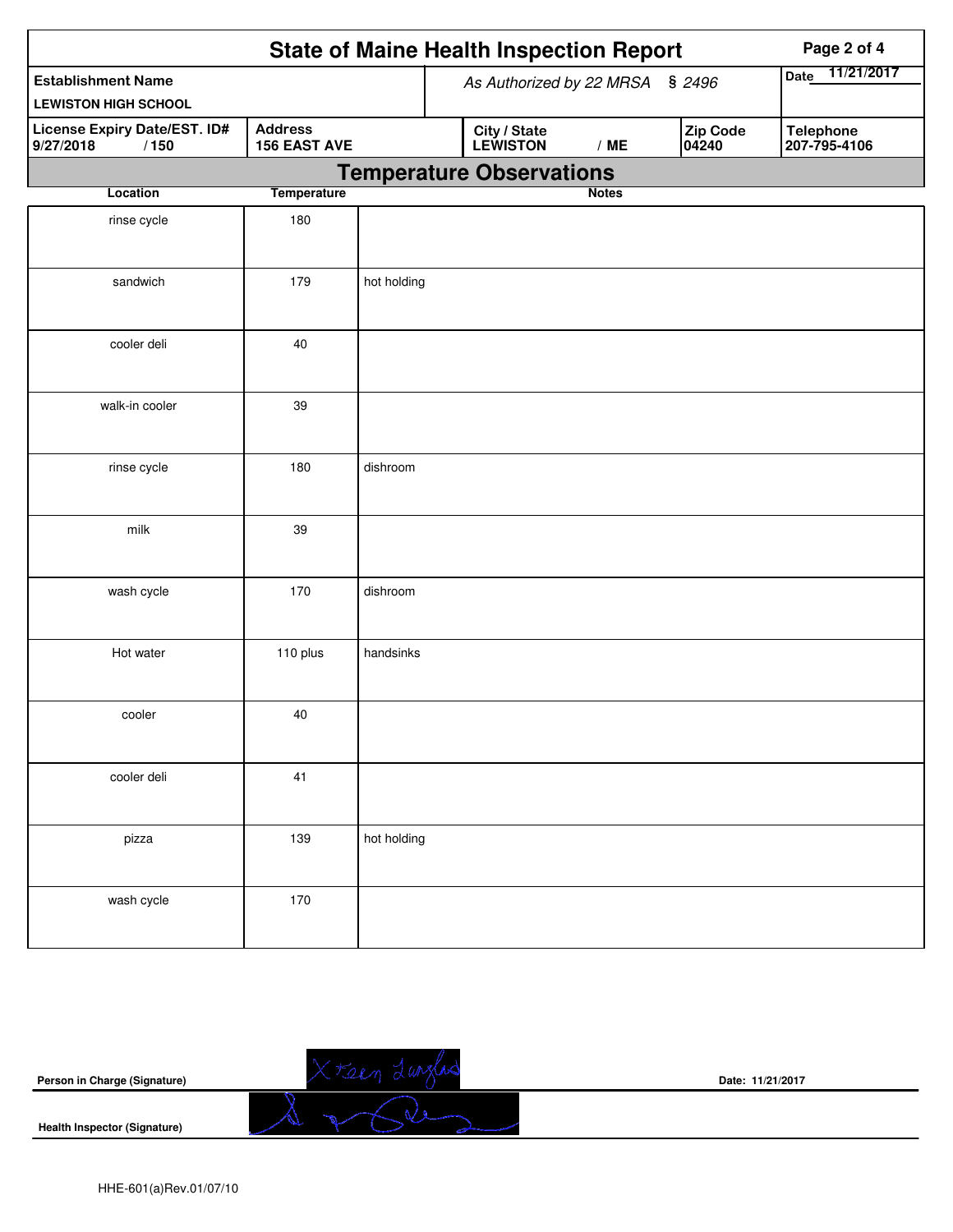|                                                   | <b>State of Maine Health Inspection Report</b> |                                 |  |                                 |  |              | Page 2 of 4 |                   |                  |              |
|---------------------------------------------------|------------------------------------------------|---------------------------------|--|---------------------------------|--|--------------|-------------|-------------------|------------------|--------------|
| <b>Establishment Name</b>                         |                                                |                                 |  | As Authorized by 22 MRSA § 2496 |  |              |             |                   | <b>Date</b>      | 11/21/2017   |
| <b>LEWISTON HIGH SCHOOL</b>                       |                                                |                                 |  |                                 |  |              |             |                   |                  |              |
| License Expiry Date/EST. ID#<br>9/27/2018<br>/150 | <b>Address</b><br><b>156 EAST AVE</b>          |                                 |  | City / State<br>LEWISTON        |  | /ME          |             | Zip Code<br>04240 | <b>Telephone</b> | 207-795-4106 |
|                                                   |                                                | <b>Temperature Observations</b> |  |                                 |  |              |             |                   |                  |              |
| Location                                          | <b>Temperature</b>                             |                                 |  |                                 |  | <b>Notes</b> |             |                   |                  |              |
| rinse cycle                                       | 180                                            |                                 |  |                                 |  |              |             |                   |                  |              |
| sandwich                                          | 179                                            | hot holding                     |  |                                 |  |              |             |                   |                  |              |
| cooler deli                                       | 40                                             |                                 |  |                                 |  |              |             |                   |                  |              |
| walk-in cooler                                    | 39                                             |                                 |  |                                 |  |              |             |                   |                  |              |
| rinse cycle                                       | 180                                            | dishroom                        |  |                                 |  |              |             |                   |                  |              |
| milk                                              | 39                                             |                                 |  |                                 |  |              |             |                   |                  |              |
| wash cycle                                        | 170                                            | dishroom                        |  |                                 |  |              |             |                   |                  |              |
| Hot water                                         | 110 plus                                       | handsinks                       |  |                                 |  |              |             |                   |                  |              |
| cooler                                            | 40                                             |                                 |  |                                 |  |              |             |                   |                  |              |
| cooler deli                                       | 41                                             |                                 |  |                                 |  |              |             |                   |                  |              |
| pizza                                             | 139                                            | hot holding                     |  |                                 |  |              |             |                   |                  |              |
| wash cycle                                        | 170                                            |                                 |  |                                 |  |              |             |                   |                  |              |

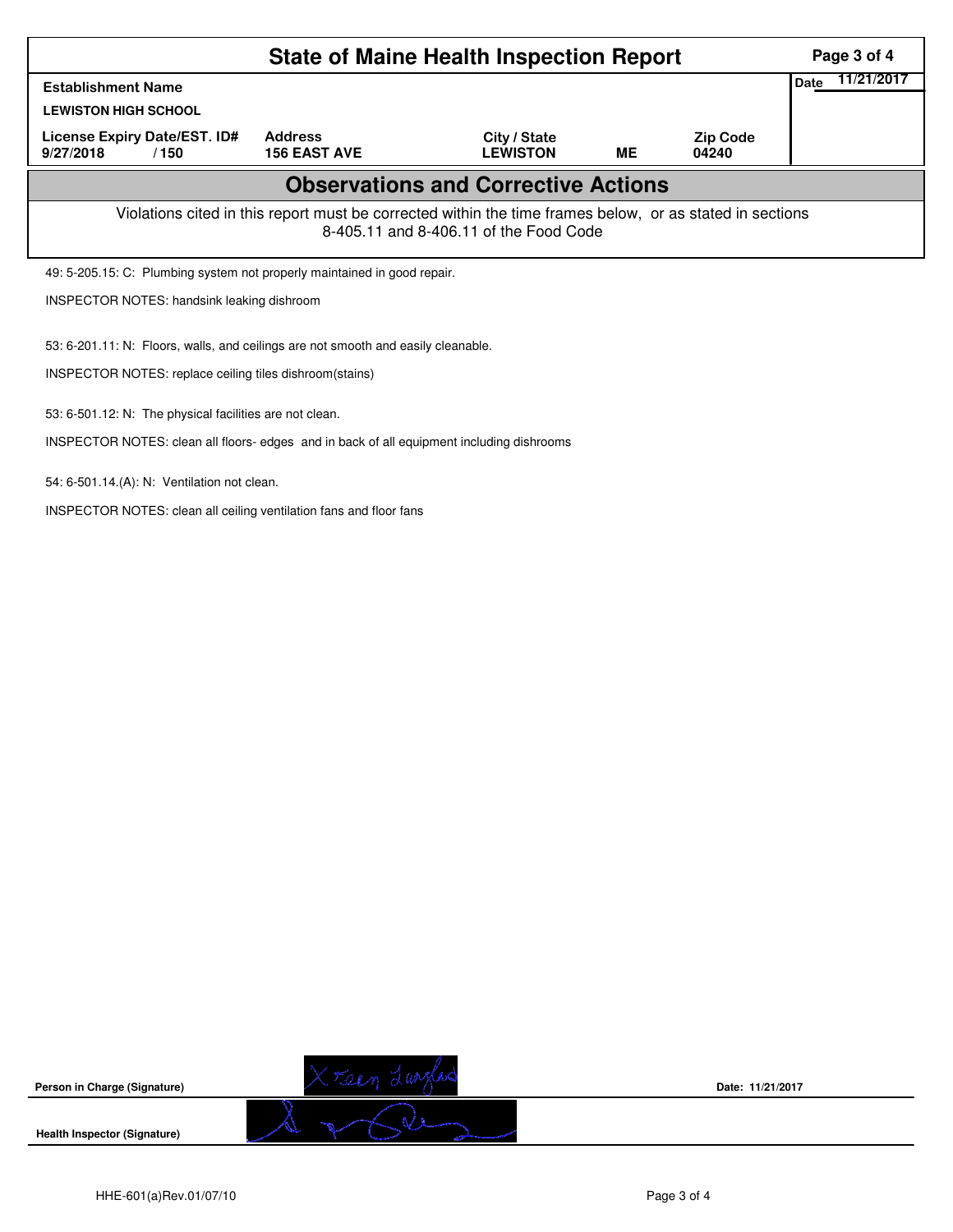| <b>State of Maine Health Inspection Report</b>                                                           |                                       |                                            |           |                          |             |            |  |  |  |
|----------------------------------------------------------------------------------------------------------|---------------------------------------|--------------------------------------------|-----------|--------------------------|-------------|------------|--|--|--|
| <b>Establishment Name</b>                                                                                |                                       |                                            |           |                          | <b>Date</b> | 11/21/2017 |  |  |  |
| <b>LEWISTON HIGH SCHOOL</b>                                                                              |                                       |                                            |           |                          |             |            |  |  |  |
| License Expiry Date/EST. ID#<br>9/27/2018<br>/150                                                        | <b>Address</b><br><b>156 EAST AVE</b> | City / State<br><b>LEWISTON</b>            | <b>ME</b> | <b>Zip Code</b><br>04240 |             |            |  |  |  |
|                                                                                                          |                                       | <b>Observations and Corrective Actions</b> |           |                          |             |            |  |  |  |
| Violations cited in this report must be corrected within the time frames below, or as stated in sections |                                       |                                            |           |                          |             |            |  |  |  |
| 49: 5-205.15: C: Plumbing system not properly maintained in good repair.                                 |                                       |                                            |           |                          |             |            |  |  |  |
| <b>INSPECTOR NOTES: handsink leaking dishroom</b>                                                        |                                       |                                            |           |                          |             |            |  |  |  |
| 53: 6-201.11: N: Floors, walls, and ceilings are not smooth and easily cleanable.                        |                                       |                                            |           |                          |             |            |  |  |  |
| INSPECTOR NOTES: replace ceiling tiles dishroom(stains)                                                  |                                       |                                            |           |                          |             |            |  |  |  |
| 53: 6-501.12: N: The physical facilities are not clean.                                                  |                                       |                                            |           |                          |             |            |  |  |  |
| INSPECTOR NOTES: clean all floors- edges and in back of all equipment including dishrooms                |                                       |                                            |           |                          |             |            |  |  |  |
| 54: 6-501.14.(A): N: Ventilation not clean.                                                              |                                       |                                            |           |                          |             |            |  |  |  |

INSPECTOR NOTES: clean all ceiling ventilation fans and floor fans